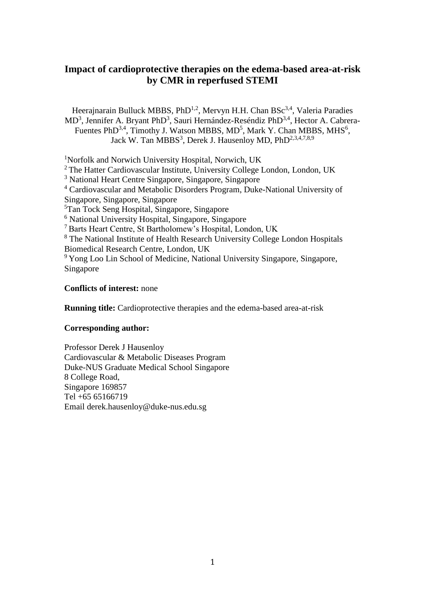# **Impact of cardioprotective therapies on the edema-based area-at-risk by CMR in reperfused STEMI**

Heerajnarain Bulluck MBBS, PhD<sup>1,2</sup>, Mervyn H.H. Chan BSc<sup>3,4</sup>, Valeria Paradies MD<sup>3</sup>, Jennifer A. Bryant PhD<sup>3</sup>, Sauri Hernández-Reséndiz PhD<sup>3,4</sup>, Hector A. Cabrera-Fuentes PhD<sup>3,4</sup>, Timothy J. Watson MBBS, MD<sup>5</sup>, Mark Y. Chan MBBS, MHS<sup>6</sup>, Jack W. Tan MBBS<sup>3</sup>, Derek J. Hausenloy MD, PhD<sup>2,3,4,7,8,9</sup>

<sup>1</sup>Norfolk and Norwich University Hospital, Norwich, UK

<sup>2</sup> The Hatter Cardiovascular Institute, University College London, London, UK

<sup>3</sup> National Heart Centre Singapore, Singapore, Singapore

<sup>4</sup> Cardiovascular and Metabolic Disorders Program, Duke-National University of Singapore, Singapore, Singapore

<sup>5</sup>Tan Tock Seng Hospital, Singapore, Singapore

<sup>6</sup> National University Hospital, Singapore, Singapore

<sup>7</sup> Barts Heart Centre, St Bartholomew's Hospital, London, UK

<sup>8</sup> The National Institute of Health Research University College London Hospitals Biomedical Research Centre, London, UK

<sup>9</sup> Yong Loo Lin School of Medicine, National University Singapore, Singapore, Singapore

### **Conflicts of interest:** none

**Running title:** Cardioprotective therapies and the edema-based area-at-risk

### **Corresponding author:**

Professor Derek J Hausenloy Cardiovascular & Metabolic Diseases Program Duke-NUS Graduate Medical School Singapore 8 College Road, Singapore 169857 Tel +65 65166719 Email derek.hausenloy@duke-nus.edu.sg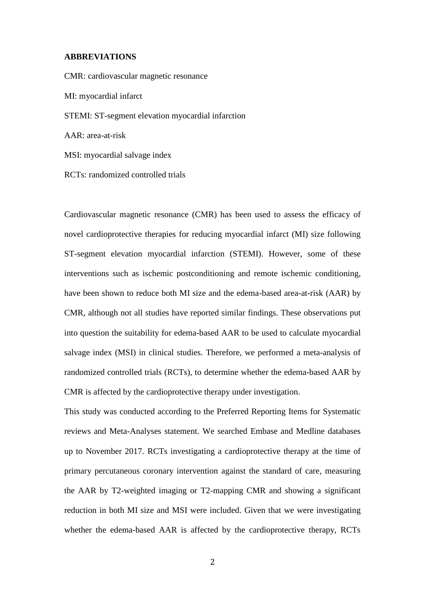#### **ABBREVIATIONS**

CMR: cardiovascular magnetic resonance MI: myocardial infarct STEMI: ST-segment elevation myocardial infarction AAR: area-at-risk MSI: myocardial salvage index RCTs: randomized controlled trials

Cardiovascular magnetic resonance (CMR) has been used to assess the efficacy of novel cardioprotective therapies for reducing myocardial infarct (MI) size following ST-segment elevation myocardial infarction (STEMI). However, some of these interventions such as ischemic postconditioning and remote ischemic conditioning, have been shown to reduce both MI size and the edema-based area-at-risk (AAR) by CMR, although not all studies have reported similar findings. These observations put into question the suitability for edema-based AAR to be used to calculate myocardial salvage index (MSI) in clinical studies. Therefore, we performed a meta-analysis of randomized controlled trials (RCTs), to determine whether the edema-based AAR by CMR is affected by the cardioprotective therapy under investigation.

This study was conducted according to the Preferred Reporting Items for Systematic reviews and Meta-Analyses statement. We searched Embase and Medline databases up to November 2017. RCTs investigating a cardioprotective therapy at the time of primary percutaneous coronary intervention against the standard of care, measuring the AAR by T2-weighted imaging or T2-mapping CMR and showing a significant reduction in both MI size and MSI were included. Given that we were investigating whether the edema-based AAR is affected by the cardioprotective therapy, RCTs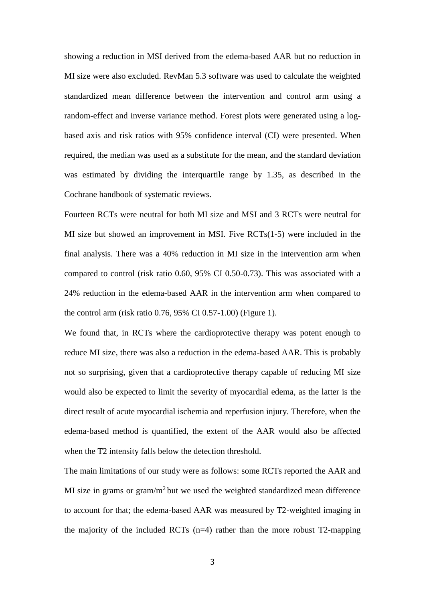showing a reduction in MSI derived from the edema-based AAR but no reduction in MI size were also excluded. RevMan 5.3 software was used to calculate the weighted standardized mean difference between the intervention and control arm using a random-effect and inverse variance method. Forest plots were generated using a logbased axis and risk ratios with 95% confidence interval (CI) were presented. When required, the median was used as a substitute for the mean, and the standard deviation was estimated by dividing the interquartile range by 1.35, as described in the Cochrane handbook of systematic reviews.

Fourteen RCTs were neutral for both MI size and MSI and 3 RCTs were neutral for MI size but showed an improvement in MSI. Five RCTs(1-5) were included in the final analysis. There was a 40% reduction in MI size in the intervention arm when compared to control (risk ratio 0.60, 95% CI 0.50-0.73). This was associated with a 24% reduction in the edema-based AAR in the intervention arm when compared to the control arm (risk ratio 0.76, 95% CI 0.57-1.00) (Figure 1).

We found that, in RCTs where the cardioprotective therapy was potent enough to reduce MI size, there was also a reduction in the edema-based AAR. This is probably not so surprising, given that a cardioprotective therapy capable of reducing MI size would also be expected to limit the severity of myocardial edema, as the latter is the direct result of acute myocardial ischemia and reperfusion injury. Therefore, when the edema-based method is quantified, the extent of the AAR would also be affected when the T2 intensity falls below the detection threshold.

The main limitations of our study were as follows: some RCTs reported the AAR and MI size in grams or gram/ $m<sup>2</sup>$  but we used the weighted standardized mean difference to account for that; the edema-based AAR was measured by T2-weighted imaging in the majority of the included RCTs  $(n=4)$  rather than the more robust T2-mapping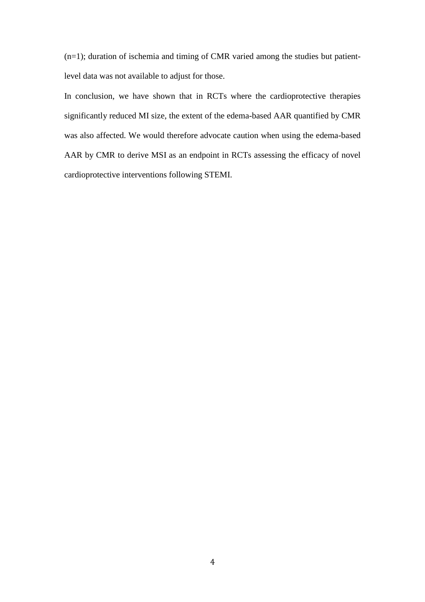(n=1); duration of ischemia and timing of CMR varied among the studies but patientlevel data was not available to adjust for those.

In conclusion, we have shown that in RCTs where the cardioprotective therapies significantly reduced MI size, the extent of the edema-based AAR quantified by CMR was also affected. We would therefore advocate caution when using the edema-based AAR by CMR to derive MSI as an endpoint in RCTs assessing the efficacy of novel cardioprotective interventions following STEMI.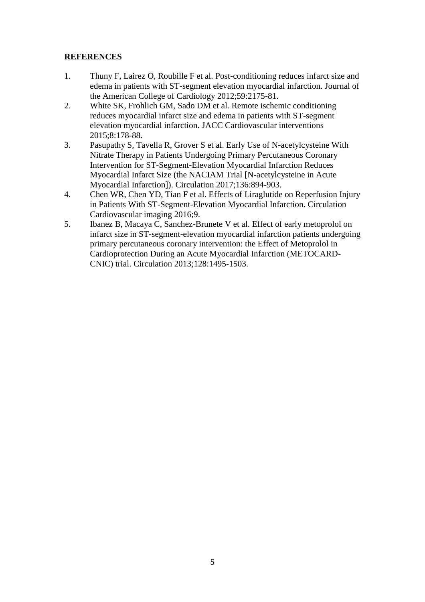# **REFERENCES**

- 1. Thuny F, Lairez O, Roubille F et al. Post-conditioning reduces infarct size and edema in patients with ST-segment elevation myocardial infarction. Journal of the American College of Cardiology 2012;59:2175-81.
- 2. White SK, Frohlich GM, Sado DM et al. Remote ischemic conditioning reduces myocardial infarct size and edema in patients with ST-segment elevation myocardial infarction. JACC Cardiovascular interventions 2015;8:178-88.
- 3. Pasupathy S, Tavella R, Grover S et al. Early Use of N-acetylcysteine With Nitrate Therapy in Patients Undergoing Primary Percutaneous Coronary Intervention for ST-Segment-Elevation Myocardial Infarction Reduces Myocardial Infarct Size (the NACIAM Trial [N-acetylcysteine in Acute Myocardial Infarction]). Circulation 2017;136:894-903.
- 4. Chen WR, Chen YD, Tian F et al. Effects of Liraglutide on Reperfusion Injury in Patients With ST-Segment-Elevation Myocardial Infarction. Circulation Cardiovascular imaging 2016;9.
- 5. Ibanez B, Macaya C, Sanchez-Brunete V et al. Effect of early metoprolol on infarct size in ST-segment-elevation myocardial infarction patients undergoing primary percutaneous coronary intervention: the Effect of Metoprolol in Cardioprotection During an Acute Myocardial Infarction (METOCARD-CNIC) trial. Circulation 2013;128:1495-1503.